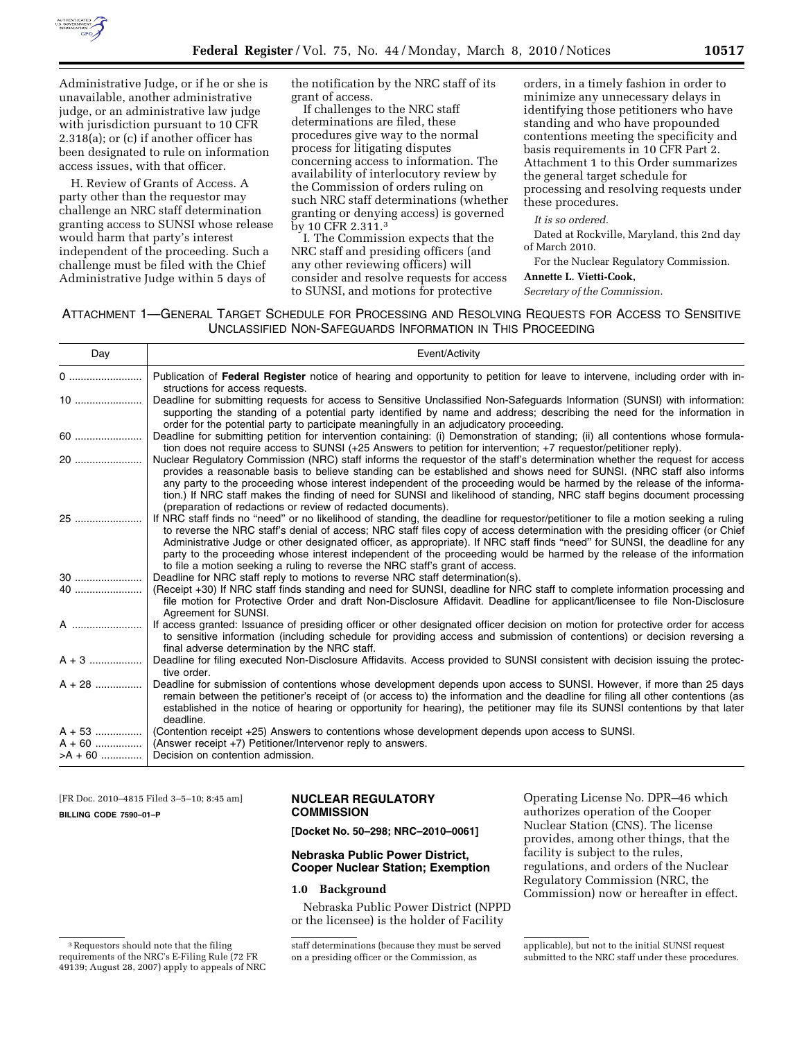

Administrative Judge, or if he or she is unavailable, another administrative judge, or an administrative law judge with jurisdiction pursuant to 10 CFR 2.318(a); or (c) if another officer has been designated to rule on information access issues, with that officer.

H. Review of Grants of Access. A party other than the requestor may challenge an NRC staff determination granting access to SUNSI whose release would harm that party's interest independent of the proceeding. Such a challenge must be filed with the Chief Administrative Judge within 5 days of

the notification by the NRC staff of its grant of access.

If challenges to the NRC staff determinations are filed, these procedures give way to the normal process for litigating disputes concerning access to information. The availability of interlocutory review by the Commission of orders ruling on such NRC staff determinations (whether granting or denying access) is governed by 10 CFR 2.311.3

I. The Commission expects that the NRC staff and presiding officers (and any other reviewing officers) will consider and resolve requests for access to SUNSI, and motions for protective

orders, in a timely fashion in order to minimize any unnecessary delays in identifying those petitioners who have standing and who have propounded contentions meeting the specificity and basis requirements in 10 CFR Part 2. Attachment 1 to this Order summarizes the general target schedule for processing and resolving requests under these procedures.

#### *It is so ordered.*

Dated at Rockville, Maryland, this 2nd day of March 2010.

For the Nuclear Regulatory Commission.

#### **Annette L. Vietti-Cook,**

*Secretary of the Commission.* 

# ATTACHMENT 1—GENERAL TARGET SCHEDULE FOR PROCESSING AND RESOLVING REQUESTS FOR ACCESS TO SENSITIVE UNCLASSIFIED NON-SAFEGUARDS INFORMATION IN THIS PROCEEDING

| Day        | Event/Activity                                                                                                                                                                                                                                                                                                                                                                                                                                                                                                                                                                                                  |
|------------|-----------------------------------------------------------------------------------------------------------------------------------------------------------------------------------------------------------------------------------------------------------------------------------------------------------------------------------------------------------------------------------------------------------------------------------------------------------------------------------------------------------------------------------------------------------------------------------------------------------------|
| 0          | Publication of Federal Register notice of hearing and opportunity to petition for leave to intervene, including order with in-<br>structions for access requests.                                                                                                                                                                                                                                                                                                                                                                                                                                               |
| 10         | Deadline for submitting requests for access to Sensitive Unclassified Non-Safeguards Information (SUNSI) with information:<br>supporting the standing of a potential party identified by name and address; describing the need for the information in<br>order for the potential party to participate meaningfully in an adjudicatory proceeding.                                                                                                                                                                                                                                                               |
| 60         | Deadline for submitting petition for intervention containing: (i) Demonstration of standing; (ii) all contentions whose formula-<br>tion does not require access to SUNSI (+25 Answers to petition for intervention; +7 requestor/petitioner reply).                                                                                                                                                                                                                                                                                                                                                            |
| 20         | Nuclear Regulatory Commission (NRC) staff informs the requestor of the staff's determination whether the request for access<br>provides a reasonable basis to believe standing can be established and shows need for SUNSI. (NRC staff also informs<br>any party to the proceeding whose interest independent of the proceeding would be harmed by the release of the informa-<br>tion.) If NRC staff makes the finding of need for SUNSI and likelihood of standing, NRC staff begins document processing<br>(preparation of redactions or review of redacted documents).                                      |
| 25         | If NRC staff finds no "need" or no likelihood of standing, the deadline for requestor/petitioner to file a motion seeking a ruling<br>to reverse the NRC staff's denial of access; NRC staff files copy of access determination with the presiding officer (or Chief<br>Administrative Judge or other designated officer, as appropriate). If NRC staff finds "need" for SUNSI, the deadline for any<br>party to the proceeding whose interest independent of the proceeding would be harmed by the release of the information<br>to file a motion seeking a ruling to reverse the NRC staff's grant of access. |
|            | Deadline for NRC staff reply to motions to reverse NRC staff determination(s).                                                                                                                                                                                                                                                                                                                                                                                                                                                                                                                                  |
| 40         | (Receipt +30) If NRC staff finds standing and need for SUNSI, deadline for NRC staff to complete information processing and<br>file motion for Protective Order and draft Non-Disclosure Affidavit. Deadline for applicant/licensee to file Non-Disclosure<br>Agreement for SUNSI.                                                                                                                                                                                                                                                                                                                              |
| A          | If access granted: Issuance of presiding officer or other designated officer decision on motion for protective order for access<br>to sensitive information (including schedule for providing access and submission of contentions) or decision reversing a<br>final adverse determination by the NRC staff.                                                                                                                                                                                                                                                                                                    |
| $A + 3$    | Deadline for filing executed Non-Disclosure Affidavits. Access provided to SUNSI consistent with decision issuing the protec-<br>tive order.                                                                                                                                                                                                                                                                                                                                                                                                                                                                    |
| $A + 28$   | Deadline for submission of contentions whose development depends upon access to SUNSI. However, if more than 25 days<br>remain between the petitioner's receipt of (or access to) the information and the deadline for filing all other contentions (as<br>established in the notice of hearing or opportunity for hearing), the petitioner may file its SUNSI contentions by that later<br>deadline.                                                                                                                                                                                                           |
| $A + 53$   | (Contention receipt +25) Answers to contentions whose development depends upon access to SUNSI.                                                                                                                                                                                                                                                                                                                                                                                                                                                                                                                 |
| $A + 60$   | (Answer receipt +7) Petitioner/Intervenor reply to answers.                                                                                                                                                                                                                                                                                                                                                                                                                                                                                                                                                     |
| $>$ A + 60 | Decision on contention admission.                                                                                                                                                                                                                                                                                                                                                                                                                                                                                                                                                                               |

[FR Doc. 2010–4815 Filed 3–5–10; 8:45 am] **BILLING CODE 7590–01–P** 

## **NUCLEAR REGULATORY COMMISSION**

**[Docket No. 50–298; NRC–2010–0061]** 

# **Nebraska Public Power District, Cooper Nuclear Station; Exemption**

# **1.0 Background**

Nebraska Public Power District (NPPD or the licensee) is the holder of Facility

Operating License No. DPR–46 which authorizes operation of the Cooper Nuclear Station (CNS). The license provides, among other things, that the facility is subject to the rules, regulations, and orders of the Nuclear Regulatory Commission (NRC, the Commission) now or hereafter in effect.

<sup>3</sup>Requestors should note that the filing requirements of the NRC's E-Filing Rule (72 FR 49139; August 28, 2007) apply to appeals of NRC

staff determinations (because they must be served on a presiding officer or the Commission, as

applicable), but not to the initial SUNSI request submitted to the NRC staff under these procedures.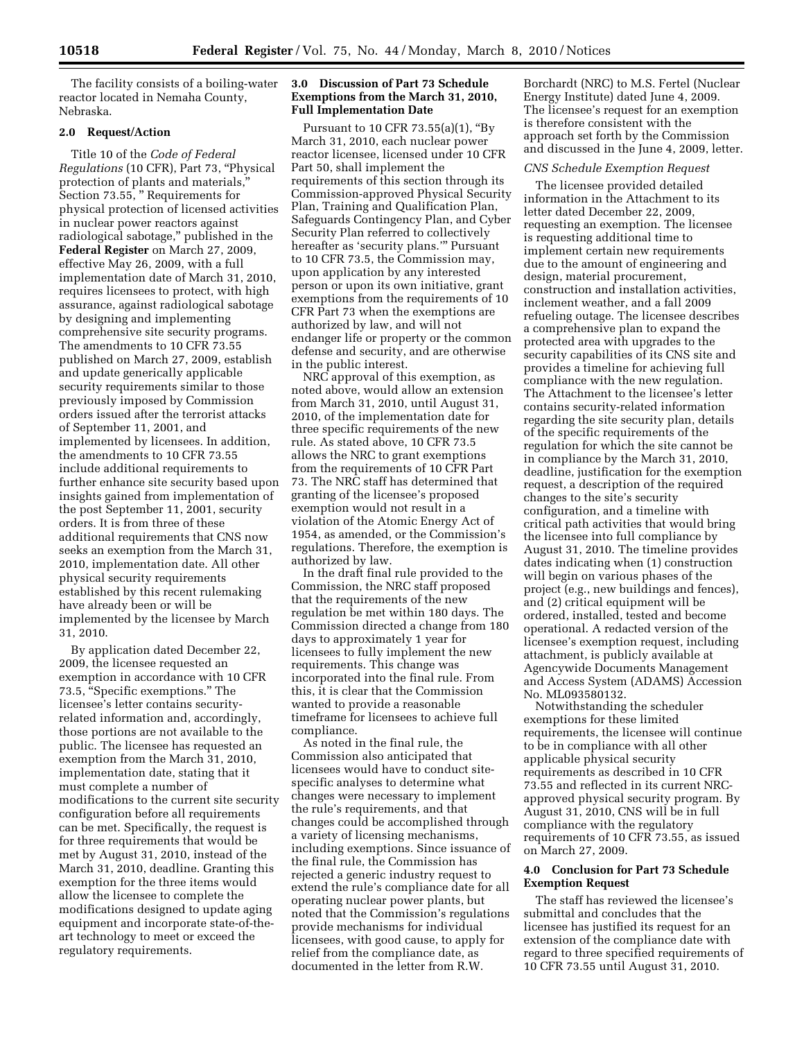The facility consists of a boiling-water reactor located in Nemaha County, Nebraska.

## **2.0 Request/Action**

Title 10 of the *Code of Federal Regulations* (10 CFR), Part 73, ''Physical protection of plants and materials,'' Section 73.55, '' Requirements for physical protection of licensed activities in nuclear power reactors against radiological sabotage,'' published in the **Federal Register** on March 27, 2009, effective May 26, 2009, with a full implementation date of March 31, 2010, requires licensees to protect, with high assurance, against radiological sabotage by designing and implementing comprehensive site security programs. The amendments to 10 CFR 73.55 published on March 27, 2009, establish and update generically applicable security requirements similar to those previously imposed by Commission orders issued after the terrorist attacks of September 11, 2001, and implemented by licensees. In addition, the amendments to 10 CFR 73.55 include additional requirements to further enhance site security based upon insights gained from implementation of the post September 11, 2001, security orders. It is from three of these additional requirements that CNS now seeks an exemption from the March 31, 2010, implementation date. All other physical security requirements established by this recent rulemaking have already been or will be implemented by the licensee by March 31, 2010.

By application dated December 22, 2009, the licensee requested an exemption in accordance with 10 CFR 73.5, "Specific exemptions." The licensee's letter contains securityrelated information and, accordingly, those portions are not available to the public. The licensee has requested an exemption from the March 31, 2010, implementation date, stating that it must complete a number of modifications to the current site security configuration before all requirements can be met. Specifically, the request is for three requirements that would be met by August 31, 2010, instead of the March 31, 2010, deadline. Granting this exemption for the three items would allow the licensee to complete the modifications designed to update aging equipment and incorporate state-of-theart technology to meet or exceed the regulatory requirements.

## **3.0 Discussion of Part 73 Schedule Exemptions from the March 31, 2010, Full Implementation Date**

Pursuant to 10 CFR 73.55(a)(1), ''By March 31, 2010, each nuclear power reactor licensee, licensed under 10 CFR Part 50, shall implement the requirements of this section through its Commission-approved Physical Security Plan, Training and Qualification Plan, Safeguards Contingency Plan, and Cyber Security Plan referred to collectively hereafter as 'security plans.''' Pursuant to 10 CFR 73.5, the Commission may, upon application by any interested person or upon its own initiative, grant exemptions from the requirements of 10 CFR Part 73 when the exemptions are authorized by law, and will not endanger life or property or the common defense and security, and are otherwise in the public interest.

NRC approval of this exemption, as noted above, would allow an extension from March 31, 2010, until August 31, 2010, of the implementation date for three specific requirements of the new rule. As stated above, 10 CFR 73.5 allows the NRC to grant exemptions from the requirements of 10 CFR Part 73. The NRC staff has determined that granting of the licensee's proposed exemption would not result in a violation of the Atomic Energy Act of 1954, as amended, or the Commission's regulations. Therefore, the exemption is authorized by law.

In the draft final rule provided to the Commission, the NRC staff proposed that the requirements of the new regulation be met within 180 days. The Commission directed a change from 180 days to approximately 1 year for licensees to fully implement the new requirements. This change was incorporated into the final rule. From this, it is clear that the Commission wanted to provide a reasonable timeframe for licensees to achieve full compliance.

As noted in the final rule, the Commission also anticipated that licensees would have to conduct sitespecific analyses to determine what changes were necessary to implement the rule's requirements, and that changes could be accomplished through a variety of licensing mechanisms, including exemptions. Since issuance of the final rule, the Commission has rejected a generic industry request to extend the rule's compliance date for all operating nuclear power plants, but noted that the Commission's regulations provide mechanisms for individual licensees, with good cause, to apply for relief from the compliance date, as documented in the letter from R.W.

Borchardt (NRC) to M.S. Fertel (Nuclear Energy Institute) dated June 4, 2009. The licensee's request for an exemption is therefore consistent with the approach set forth by the Commission and discussed in the June 4, 2009, letter.

#### *CNS Schedule Exemption Request*

The licensee provided detailed information in the Attachment to its letter dated December 22, 2009, requesting an exemption. The licensee is requesting additional time to implement certain new requirements due to the amount of engineering and design, material procurement, construction and installation activities, inclement weather, and a fall 2009 refueling outage. The licensee describes a comprehensive plan to expand the protected area with upgrades to the security capabilities of its CNS site and provides a timeline for achieving full compliance with the new regulation. The Attachment to the licensee's letter contains security-related information regarding the site security plan, details of the specific requirements of the regulation for which the site cannot be in compliance by the March 31, 2010, deadline, justification for the exemption request, a description of the required changes to the site's security configuration, and a timeline with critical path activities that would bring the licensee into full compliance by August 31, 2010. The timeline provides dates indicating when (1) construction will begin on various phases of the project (e.g., new buildings and fences), and (2) critical equipment will be ordered, installed, tested and become operational. A redacted version of the licensee's exemption request, including attachment, is publicly available at Agencywide Documents Management and Access System (ADAMS) Accession No. ML093580132.

Notwithstanding the scheduler exemptions for these limited requirements, the licensee will continue to be in compliance with all other applicable physical security requirements as described in 10 CFR 73.55 and reflected in its current NRCapproved physical security program. By August 31, 2010, CNS will be in full compliance with the regulatory requirements of 10 CFR 73.55, as issued on March 27, 2009.

## **4.0 Conclusion for Part 73 Schedule Exemption Request**

The staff has reviewed the licensee's submittal and concludes that the licensee has justified its request for an extension of the compliance date with regard to three specified requirements of 10 CFR 73.55 until August 31, 2010.